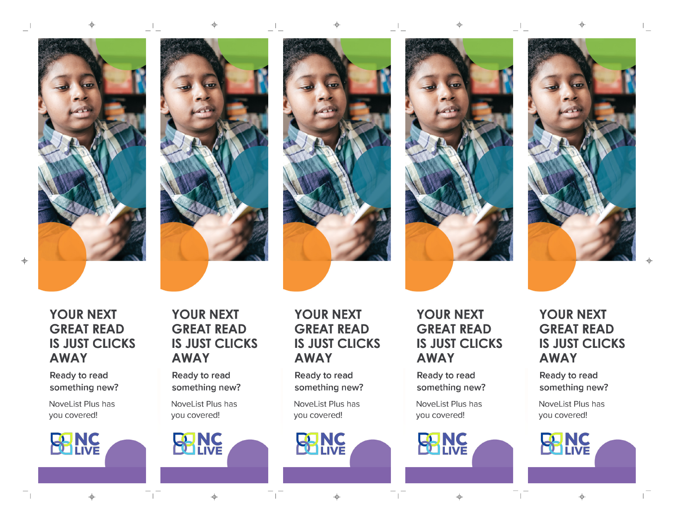$\Rightarrow$ 

 $\Box$ 

**YOUR NEXT GREAT READ IS JUST CLICKS AWAY** 

Ready to read something new?

NoveList Plus has you covered!



## **YOUR NEXT GREAT READ IS JUST CLICKS AWAY**

Ready to read something new?

NoveList Plus has you covered!

**INC**<br>LIVE

 $\color{red} \color{black} \blacklozenge$ 

 $\mathbb{R}$ 



 $\Box$ 

 $\overline{\phantom{a}}$ 

 $\pm 1$ 

## **YOUR NEXT GREAT READ IS JUST CLICKS AWAY**

Ready to read something new?

NoveList Plus has you covered!

**BANC** 









**YOUR NEXT GREAT READ IS JUST CLICKS AWAY** 

Ready to read something new?

NoveList Plus has you covered!

**RNC** 

 $\pm$ 

 $\mathbf{L}$ 

**YOUR NEXT GREAT READ IS JUST CLICKS AWAY** 

 $\pm 1$ 

Ready to read something new?

NoveList Plus has you covered!

> NG LIVE